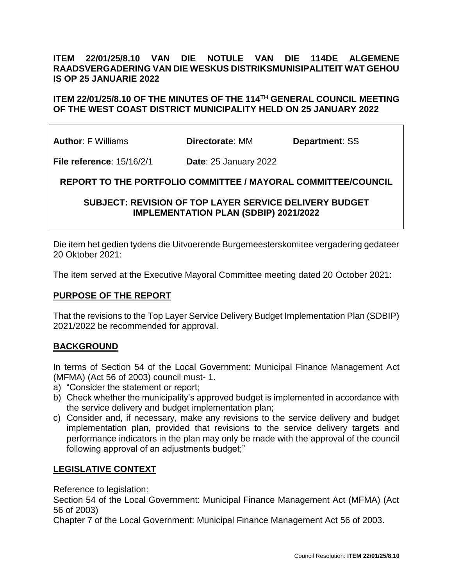## **ITEM 22/01/25/8.10 VAN DIE NOTULE VAN DIE 114DE ALGEMENE RAADSVERGADERING VAN DIE WESKUS DISTRIKSMUNISIPALITEIT WAT GEHOU IS OP 25 JANUARIE 2022**

### ITEM 22/01/25/8.10 OF THE MINUTES OF THE 114TH GENERAL COUNCIL MEETING **OF THE WEST COAST DISTRICT MUNICIPALITY HELD ON 25 JANUARY 2022**

**Author**: F Williams **Directorate**: MM **Department**: SS

**File reference**: 15/16/2/1 **Date**: 25 January 2022

**REPORT TO THE PORTFOLIO COMMITTEE / MAYORAL COMMITTEE/COUNCIL**

## **SUBJECT: REVISION OF TOP LAYER SERVICE DELIVERY BUDGET IMPLEMENTATION PLAN (SDBIP) 2021/2022**

Die item het gedien tydens die Uitvoerende Burgemeesterskomitee vergadering gedateer 20 Oktober 2021:

The item served at the Executive Mayoral Committee meeting dated 20 October 2021:

#### **PURPOSE OF THE REPORT**

That the revisions to the Top Layer Service Delivery Budget Implementation Plan (SDBIP) 2021/2022 be recommended for approval.

#### **BACKGROUND**

In terms of Section 54 of the Local Government: Municipal Finance Management Act (MFMA) (Act 56 of 2003) council must- 1.

- a) "Consider the statement or report;
- b) Check whether the municipality's approved budget is implemented in accordance with the service delivery and budget implementation plan;
- c) Consider and, if necessary, make any revisions to the service delivery and budget implementation plan, provided that revisions to the service delivery targets and performance indicators in the plan may only be made with the approval of the council following approval of an adjustments budget;"

#### **LEGISLATIVE CONTEXT**

Reference to legislation:

Section 54 of the Local Government: Municipal Finance Management Act (MFMA) (Act 56 of 2003)

Chapter 7 of the Local Government: Municipal Finance Management Act 56 of 2003.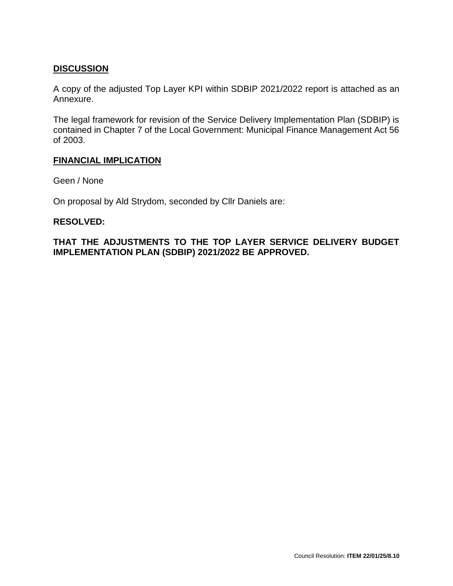## **DISCUSSION**

A copy of the adjusted Top Layer KPI within SDBIP 2021/2022 report is attached as an Annexure.

The legal framework for revision of the Service Delivery Implementation Plan (SDBIP) is contained in Chapter 7 of the Local Government: Municipal Finance Management Act 56 of 2003.

#### **FINANCIAL IMPLICATION**

Geen / None

On proposal by Ald Strydom, seconded by Cllr Daniels are:

#### **RESOLVED:**

**THAT THE ADJUSTMENTS TO THE TOP LAYER SERVICE DELIVERY BUDGET IMPLEMENTATION PLAN (SDBIP) 2021/2022 BE APPROVED.**